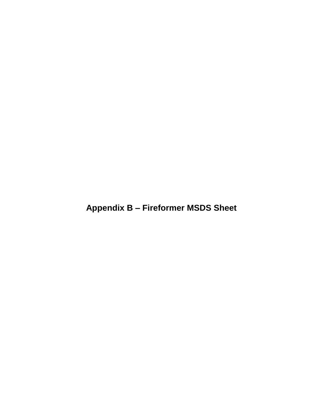**Appendix B – Fireformer MSDS Sheet**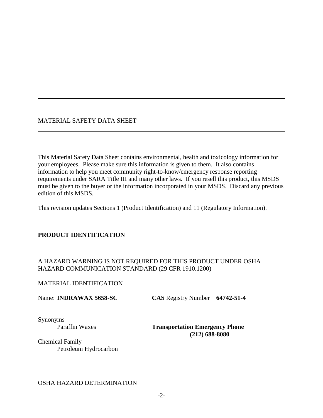## MATERIAL SAFETY DATA SHEET

This Material Safety Data Sheet contains environmental, health and toxicology information for your employees. Please make sure this information is given to them. It also contains information to help you meet community right-to-know/emergency response reporting requirements under SARA Title III and many other laws. If you resell this product, this MSDS must be given to the buyer or the information incorporated in your MSDS. Discard any previous edition of this MSDS.

This revision updates Sections 1 (Product Identification) and 11 (Regulatory Information).

## **PRODUCT IDENTIFICATION**

## A HAZARD WARNING IS NOT REQUIRED FOR THIS PRODUCT UNDER OSHA HAZARD COMMUNICATION STANDARD (29 CFR 1910.1200)

## MATERIAL IDENTIFICATION

Name: **INDRAWAX 5658-SC CAS** Registry Number **64742-51-4**

Synonyms

Paraffin Waxes **Transportation Emergency Phone (212) 688-8080**

Chemical Family Petroleum Hydrocarbon

## OSHA HAZARD DETERMINATION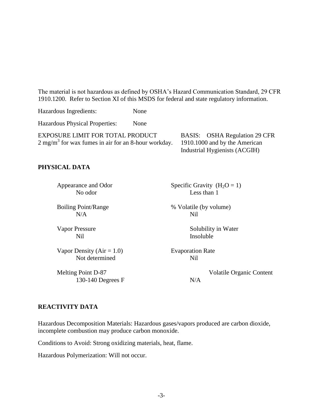The material is not hazardous as defined by OSHA's Hazard Communication Standard, 29 CFR 1910.1200. Refer to Section XI of this MSDS for federal and state regulatory information.

Hazardous Ingredients: None

Hazardous Physical Properties: None

EXPOSURE LIMIT FOR TOTAL PRODUCT  $2 \text{ mg/m}^3$  for wax fumes in air for an 8-hour workday. BASIS: OSHA Regulation 29 CFR 1910.1000 and by the American Industrial Hygienists (ACGIH)

#### **PHYSICAL DATA**

 $N/A$  Nil

Vapor Density  $(Air = 1.0)$  Evaporation Rate Not determined Nil

130-140 Degrees  $F$   $N/A$ 

Appearance and Odor Specific Gravity  $(H_2O = 1)$ No odor Less than 1

Boiling Point/Range  $\%$  Volatile (by volume)

Vapor Pressure Solubility in Water Nil Insoluble

Melting Point D-87 Volatile Organic Content

#### **REACTIVITY DATA**

Hazardous Decomposition Materials: Hazardous gases/vapors produced are carbon dioxide, incomplete combustion may produce carbon monoxide.

Conditions to Avoid: Strong oxidizing materials, heat, flame.

Hazardous Polymerization: Will not occur.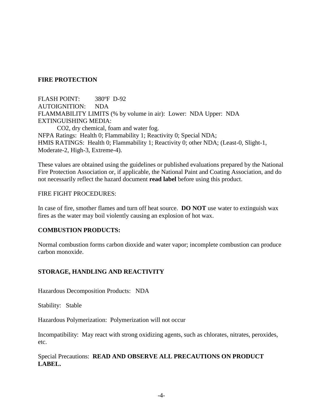## **FIRE PROTECTION**

FLASH POINT: 380ºF D-92 AUTOIGNITION: NDA FLAMMABILITY LIMITS (% by volume in air): Lower: NDA Upper: NDA EXTINGUISHING MEDIA: CO2, dry chemical, foam and water fog. NFPA Ratings: Health 0; Flammability 1; Reactivity 0; Special NDA; HMIS RATINGS: Health 0; Flammability 1; Reactivity 0; other NDA; (Least-0, Slight-1, Moderate-2, High-3, Extreme-4).

These values are obtained using the guidelines or published evaluations prepared by the National Fire Protection Association or, if applicable, the National Paint and Coating Association, and do not necessarily reflect the hazard document **read label** before using this product.

#### FIRE FIGHT PROCEDURES:

In case of fire, smother flames and turn off heat source. **DO NOT** use water to extinguish wax fires as the water may boil violently causing an explosion of hot wax.

## **COMBUSTION PRODUCTS:**

Normal combustion forms carbon dioxide and water vapor; incomplete combustion can produce carbon monoxide.

## **STORAGE, HANDLING AND REACTIVITY**

Hazardous Decomposition Products: NDA

Stability: Stable

Hazardous Polymerization: Polymerization will not occur

Incompatibility: May react with strong oxidizing agents, such as chlorates, nitrates, peroxides, etc.

Special Precautions: **READ AND OBSERVE ALL PRECAUTIONS ON PRODUCT LABEL.**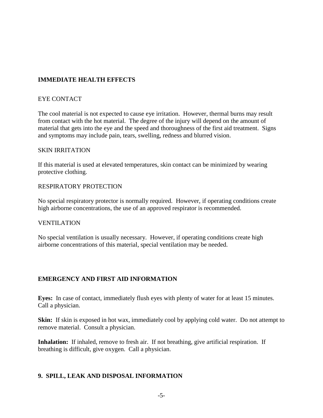# **IMMEDIATE HEALTH EFFECTS**

## EYE CONTACT

The cool material is not expected to cause eye irritation. However, thermal burns may result from contact with the hot material. The degree of the injury will depend on the amount of material that gets into the eye and the speed and thoroughness of the first aid treatment. Signs and symptoms may include pain, tears, swelling, redness and blurred vision.

#### SKIN IRRITATION

If this material is used at elevated temperatures, skin contact can be minimized by wearing protective clothing.

#### RESPIRATORY PROTECTION

No special respiratory protector is normally required. However, if operating conditions create high airborne concentrations, the use of an approved respirator is recommended.

## VENTILATION

No special ventilation is usually necessary. However, if operating conditions create high airborne concentrations of this material, special ventilation may be needed.

## **EMERGENCY AND FIRST AID INFORMATION**

**Eyes:** In case of contact, immediately flush eyes with plenty of water for at least 15 minutes. Call a physician.

**Skin:** If skin is exposed in hot wax, immediately cool by applying cold water. Do not attempt to remove material. Consult a physician.

**Inhalation:** If inhaled, remove to fresh air. If not breathing, give artificial respiration. If breathing is difficult, give oxygen. Call a physician.

## **9. SPILL, LEAK AND DISPOSAL INFORMATION**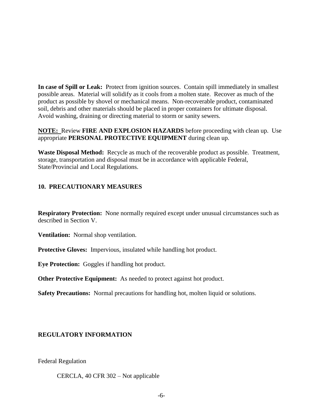**In case of Spill or Leak:** Protect from ignition sources. Contain spill immediately in smallest possible areas. Material will solidify as it cools from a molten state. Recover as much of the product as possible by shovel or mechanical means. Non-recoverable product, contaminated soil, debris and other materials should be placed in proper containers for ultimate disposal. Avoid washing, draining or directing material to storm or sanity sewers.

**NOTE:** Review **FIRE AND EXPLOSION HAZARDS** before proceeding with clean up. Use appropriate **PERSONAL PROTECTIVE EQUIPMENT** during clean up.

**Waste Disposal Method:** Recycle as much of the recoverable product as possible. Treatment, storage, transportation and disposal must be in accordance with applicable Federal, State/Provincial and Local Regulations.

# **10. PRECAUTIONARY MEASURES**

**Respiratory Protection:** None normally required except under unusual circumstances such as described in Section V.

**Ventilation:** Normal shop ventilation.

**Protective Gloves:** Impervious, insulated while handling hot product.

**Eye Protection:** Goggles if handling hot product.

**Other Protective Equipment:** As needed to protect against hot product.

**Safety Precautions:** Normal precautions for handling hot, molten liquid or solutions.

## **REGULATORY INFORMATION**

Federal Regulation

CERCLA, 40 CFR 302 – Not applicable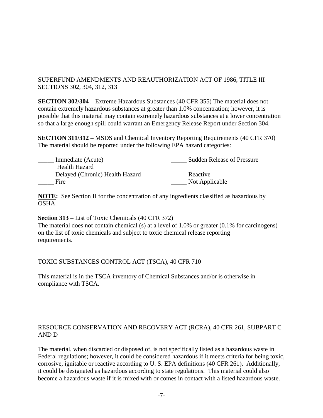# SUPERFUND AMENDMENTS AND REAUTHORIZATION ACT OF 1986, TITLE III SECTIONS 302, 304, 312, 313

**SECTION 302/304 –** Extreme Hazardous Substances (40 CFR 355) The material does not contain extremely hazardous substances at greater than 1.0% concentration; however, it is possible that this material may contain extremely hazardous substances at a lower concentration so that a large enough spill could warrant an Emergency Release Report under Section 304.

**SECTION 311/312 –** MSDS and Chemical Inventory Reporting Requirements (40 CFR 370) The material should be reported under the following EPA hazard categories:

| Immediate (Acute)               | <b>Sudden Release of Pressure</b> |
|---------------------------------|-----------------------------------|
| Health Hazard                   |                                   |
| Delayed (Chronic) Health Hazard | Reactive                          |
| Fire                            | Not Applicable                    |

**NOTE:** See Section II for the concentration of any ingredients classified as hazardous by OSHA.

**Section 313 –** List of Toxic Chemicals (40 CFR 372)

The material does not contain chemical (s) at a level of 1.0% or greater (0.1% for carcinogens) on the list of toxic chemicals and subject to toxic chemical release reporting requirements.

TOXIC SUBSTANCES CONTROL ACT (TSCA), 40 CFR 710

This material is in the TSCA inventory of Chemical Substances and/or is otherwise in compliance with TSCA.

# RESOURCE CONSERVATION AND RECOVERY ACT (RCRA), 40 CFR 261, SUBPART C AND D

The material, when discarded or disposed of, is not specifically listed as a hazardous waste in Federal regulations; however, it could be considered hazardous if it meets criteria for being toxic, corrosive, ignitable or reactive according to U. S. EPA definitions (40 CFR 261). Additionally, it could be designated as hazardous according to state regulations. This material could also become a hazardous waste if it is mixed with or comes in contact with a listed hazardous waste.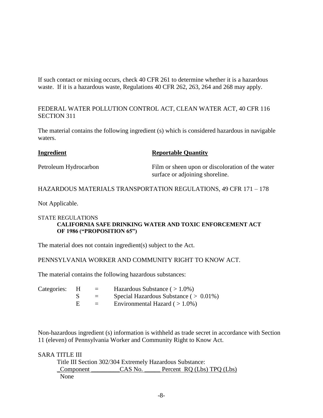If such contact or mixing occurs, check 40 CFR 261 to determine whether it is a hazardous waste. If it is a hazardous waste, Regulations 40 CFR 262, 263, 264 and 268 may apply.

FEDERAL WATER POLLUTION CONTROL ACT, CLEAN WATER ACT, 40 CFR 116 SECTION 311

The material contains the following ingredient (s) which is considered hazardous in navigable waters.

| <b>Ingredient</b> | <b>Reportable Quantity</b> |
|-------------------|----------------------------|
|-------------------|----------------------------|

Petroleum Hydrocarbon Film or sheen upon or discoloration of the water surface or adjoining shoreline.

## HAZARDOUS MATERIALS TRANSPORTATION REGULATIONS, 49 CFR 171 – 178

Not Applicable.

#### STATE REGULATIONS **CALIFORNIA SAFE DRINKING WATER AND TOXIC ENFORCEMENT ACT OF 1986 ("PROPOSITION 65")**

The material does not contain ingredient(s) subject to the Act.

PENNSYLVANIA WORKER AND COMMUNITY RIGHT TO KNOW ACT.

The material contains the following hazardous substances:

| Categories: | $\equiv$ | Hazardous Substance $($ > 1.0%)            |
|-------------|----------|--------------------------------------------|
|             | $\equiv$ | Special Hazardous Substance ( $> 0.01\%$ ) |
|             | $=$      | Environmental Hazard $($ > 1.0%)           |

Non-hazardous ingredient (s) information is withheld as trade secret in accordance with Section 11 (eleven) of Pennsylvania Worker and Community Right to Know Act.

## SARA TITLE III

Title III Section 302/304 Extremely Hazardous Substance: Component CAS No. Percent RQ (Lbs) TPQ (Lbs) None